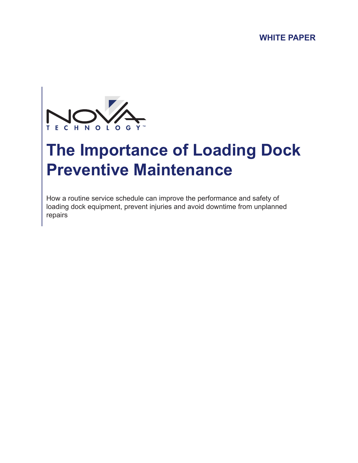**WHITE PAPER**



# **The Importance of Loading Dock Preventive Maintenance**

How a routine service schedule can improve the performance and safety of loading dock equipment, prevent injuries and avoid downtime from unplanned repairs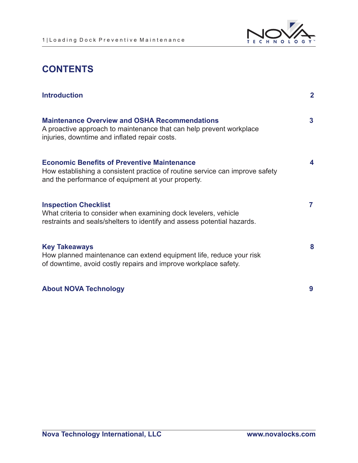

# **CONTENTS**

| <b>Introduction</b>                                                                                                                                                                      | $\overline{2}$ |
|------------------------------------------------------------------------------------------------------------------------------------------------------------------------------------------|----------------|
| <b>Maintenance Overview and OSHA Recommendations</b><br>A proactive approach to maintenance that can help prevent workplace<br>injuries, downtime and inflated repair costs.             | 3              |
| <b>Economic Benefits of Preventive Maintenance</b><br>How establishing a consistent practice of routine service can improve safety<br>and the performance of equipment at your property. | 4              |
| <b>Inspection Checklist</b><br>What criteria to consider when examining dock levelers, vehicle<br>restraints and seals/shelters to identify and assess potential hazards.                | $\overline{7}$ |
| <b>Key Takeaways</b><br>How planned maintenance can extend equipment life, reduce your risk<br>of downtime, avoid costly repairs and improve workplace safety.                           | 8              |
| <b>About NOVA Technology</b>                                                                                                                                                             | 9              |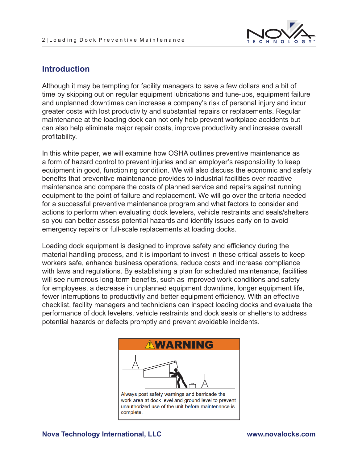

#### **Introduction**

Although it may be tempting for facility managers to save a few dollars and a bit of time by skipping out on regular equipment lubrications and tune-ups, equipment failure and unplanned downtimes can increase a company's risk of personal injury and incur greater costs with lost productivity and substantial repairs or replacements. Regular maintenance at the loading dock can not only help prevent workplace accidents but can also help eliminate major repair costs, improve productivity and increase overall profitability.

In this white paper, we will examine how OSHA outlines preventive maintenance as a form of hazard control to prevent injuries and an employer's responsibility to keep equipment in good, functioning condition. We will also discuss the economic and safety benefits that preventive maintenance provides to industrial facilities over reactive maintenance and compare the costs of planned service and repairs against running equipment to the point of failure and replacement. We will go over the criteria needed for a successful preventive maintenance program and what factors to consider and actions to perform when evaluating dock levelers, vehicle restraints and seals/shelters so you can better assess potential hazards and identify issues early on to avoid emergency repairs or full-scale replacements at loading docks.

Loading dock equipment is designed to improve safety and efficiency during the material handling process, and it is important to invest in these critical assets to keep workers safe, enhance business operations, reduce costs and increase compliance with laws and regulations. By establishing a plan for scheduled maintenance, facilities will see numerous long-term benefits, such as improved work conditions and safety for employees, a decrease in unplanned equipment downtime, longer equipment life, fewer interruptions to productivity and better equipment efficiency. With an effective checklist, facility managers and technicians can inspect loading docks and evaluate the performance of dock levelers, vehicle restraints and dock seals or shelters to address potential hazards or defects promptly and prevent avoidable incidents.

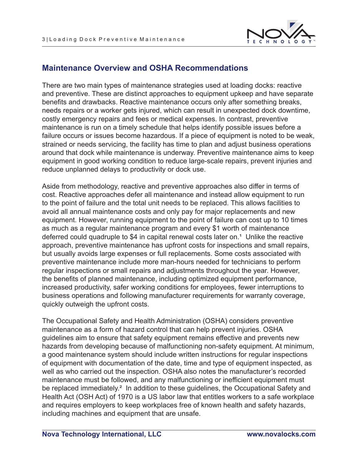

#### **Maintenance Overview and OSHA Recommendations**

There are two main types of maintenance strategies used at loading docks: reactive and preventive. These are distinct approaches to equipment upkeep and have separate benefits and drawbacks. Reactive maintenance occurs only after something breaks, needs repairs or a worker gets injured, which can result in unexpected dock downtime, costly emergency repairs and fees or medical expenses. In contrast, preventive maintenance is run on a timely schedule that helps identify possible issues before a failure occurs or issues become hazardous. If a piece of equipment is noted to be weak, strained or needs servicing, the facility has time to plan and adjust business operations around that dock while maintenance is underway. Preventive maintenance aims to keep equipment in good working condition to reduce large-scale repairs, prevent injuries and reduce unplanned delays to productivity or dock use.

Aside from methodology, reactive and preventive approaches also differ in terms of cost. Reactive approaches defer all maintenance and instead allow equipment to run to the point of failure and the total unit needs to be replaced. This allows facilities to avoid all annual maintenance costs and only pay for major replacements and new equipment. However, running equipment to the point of failure can cost up to 10 times as much as a regular maintenance program and every \$1 worth of maintenance deferred could quadruple to \$4 in capital renewal costs later on.<sup>1</sup> Unlike the reactive approach, preventive maintenance has upfront costs for inspections and small repairs, but usually avoids large expenses or full replacements. Some costs associated with preventive maintenance include more man-hours needed for technicians to perform regular inspections or small repairs and adjustments throughout the year. However, the benefits of planned maintenance, including optimized equipment performance, increased productivity, safer working conditions for employees, fewer interruptions to business operations and following manufacturer requirements for warranty coverage, quickly outweigh the upfront costs.

The Occupational Safety and Health Administration (OSHA) considers preventive maintenance as a form of hazard control that can help prevent injuries. OSHA guidelines aim to ensure that safety equipment remains effective and prevents new hazards from developing because of malfunctioning non-safety equipment. At minimum, a good maintenance system should include written instructions for regular inspections of equipment with documentation of the date, time and type of equipment inspected, as well as who carried out the inspection. OSHA also notes the manufacturer's recorded maintenance must be followed, and any malfunctioning or inefficient equipment must be replaced immediately.<sup>2</sup> In addition to these guidelines, the Occupational Safety and Health Act (OSH Act) of 1970 is a US labor law that entitles workers to a safe workplace and requires employers to keep workplaces free of known health and safety hazards, including machines and equipment that are unsafe.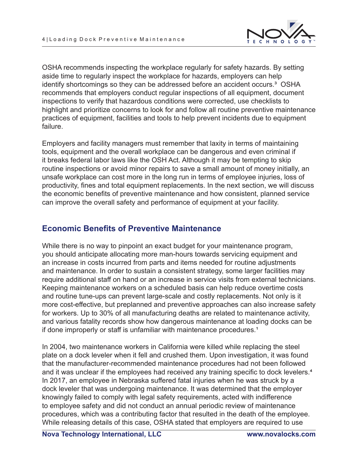

OSHA recommends inspecting the workplace regularly for safety hazards. By setting aside time to regularly inspect the workplace for hazards, employers can help identify shortcomings so they can be addressed before an accident occurs.<sup>3</sup> OSHA recommends that employers conduct regular inspections of all equipment, document inspections to verify that hazardous conditions were corrected, use checklists to highlight and prioritize concerns to look for and follow all routine preventive maintenance practices of equipment, facilities and tools to help prevent incidents due to equipment failure.

Employers and facility managers must remember that laxity in terms of maintaining tools, equipment and the overall workplace can be dangerous and even criminal if it breaks federal labor laws like the OSH Act. Although it may be tempting to skip routine inspections or avoid minor repairs to save a small amount of money initially, an unsafe workplace can cost more in the long run in terms of employee injuries, loss of productivity, fines and total equipment replacements. In the next section, we will discuss the economic benefits of preventive maintenance and how consistent, planned service can improve the overall safety and performance of equipment at your facility.

## **Economic Benefits of Preventive Maintenance**

While there is no way to pinpoint an exact budget for your maintenance program, you should anticipate allocating more man-hours towards servicing equipment and an increase in costs incurred from parts and items needed for routine adjustments and maintenance. In order to sustain a consistent strategy, some larger facilities may require additional staff on hand or an increase in service visits from external technicians. Keeping maintenance workers on a scheduled basis can help reduce overtime costs and routine tune-ups can prevent large-scale and costly replacements. Not only is it more cost-effective, but preplanned and preventive approaches can also increase safety for workers. Up to 30% of all manufacturing deaths are related to maintenance activity, and various fatality records show how dangerous maintenance at loading docks can be if done improperly or staff is unfamiliar with maintenance procedures.<sup>1</sup>

In 2004, two maintenance workers in California were killed while replacing the steel plate on a dock leveler when it fell and crushed them. Upon investigation, it was found that the manufacturer-recommended maintenance procedures had not been followed and it was unclear if the employees had received any training specific to dock levelers.<sup>4</sup> In 2017, an employee in Nebraska suffered fatal injuries when he was struck by a dock leveler that was undergoing maintenance. It was determined that the employer knowingly failed to comply with legal safety requirements, acted with indifference to employee safety and did not conduct an annual periodic review of maintenance procedures, which was a contributing factor that resulted in the death of the employee. While releasing details of this case, OSHA stated that employers are required to use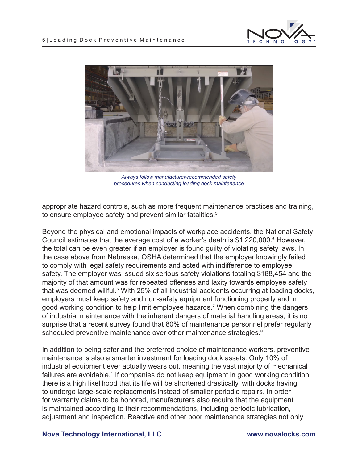



*Always follow manufacturer-recommended safety procedures when conducting loading dock maintenance*

appropriate hazard controls, such as more frequent maintenance practices and training, to ensure employee safety and prevent similar fatalities.<sup>5</sup>

Beyond the physical and emotional impacts of workplace accidents, the National Safety Council estimates that the average cost of a worker's death is \$1,220,000.⁶ However, the total can be even greater if an employer is found guilty of violating safety laws. In the case above from Nebraska, OSHA determined that the employer knowingly failed to comply with legal safety requirements and acted with indifference to employee safety. The employer was issued six serious safety violations totaling \$188,454 and the majority of that amount was for repeated offenses and laxity towards employee safety that was deemed willful.<sup>5</sup> With 25% of all industrial accidents occurring at loading docks, employers must keep safety and non-safety equipment functioning properly and in good working condition to help limit employee hazards.<sup>7</sup> When combining the dangers of industrial maintenance with the inherent dangers of material handling areas, it is no surprise that a recent survey found that 80% of maintenance personnel prefer regularly scheduled preventive maintenance over other maintenance strategies.<sup>8</sup>

In addition to being safer and the preferred choice of maintenance workers, preventive maintenance is also a smarter investment for loading dock assets. Only 10% of industrial equipment ever actually wears out, meaning the vast majority of mechanical failures are avoidable.<sup>1</sup> If companies do not keep equipment in good working condition, there is a high likelihood that its life will be shortened drastically, with docks having to undergo large-scale replacements instead of smaller periodic repairs. In order for warranty claims to be honored, manufacturers also require that the equipment is maintained according to their recommendations, including periodic lubrication, adjustment and inspection. Reactive and other poor maintenance strategies not only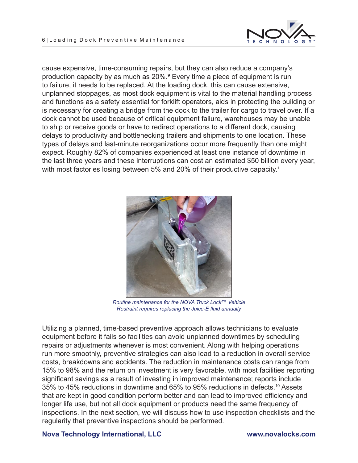

cause expensive, time-consuming repairs, but they can also reduce a company's production capacity by as much as 20%.<sup>9</sup> Every time a piece of equipment is run to failure, it needs to be replaced. At the loading dock, this can cause extensive, unplanned stoppages, as most dock equipment is vital to the material handling process and functions as a safety essential for forklift operators, aids in protecting the building or is necessary for creating a bridge from the dock to the trailer for cargo to travel over. If a dock cannot be used because of critical equipment failure, warehouses may be unable to ship or receive goods or have to redirect operations to a different dock, causing delays to productivity and bottlenecking trailers and shipments to one location. These types of delays and last-minute reorganizations occur more frequently than one might expect. Roughly 82% of companies experienced at least one instance of downtime in the last three years and these interruptions can cost an estimated \$50 billion every year, with most factories losing between 5% and 20% of their productive capacity.<sup>1</sup>



*Routine maintenance for the NOVA Truck Lock™ Vehicle Restraint requires replacing the Juice-E fluid annually*

Utilizing a planned, time-based preventive approach allows technicians to evaluate equipment before it fails so facilities can avoid unplanned downtimes by scheduling repairs or adjustments whenever is most convenient. Along with helping operations run more smoothly, preventive strategies can also lead to a reduction in overall service costs, breakdowns and accidents. The reduction in maintenance costs can range from 15% to 98% and the return on investment is very favorable, with most facilities reporting significant savings as a result of investing in improved maintenance; reports include 35% to 45% reductions in downtime and 65% to 95% reductions in defects.10 Assets that are kept in good condition perform better and can lead to improved efficiency and longer life use, but not all dock equipment or products need the same frequency of inspections. In the next section, we will discuss how to use inspection checklists and the regularity that preventive inspections should be performed.

**Nova Technology International, LLC www.novalocks.com**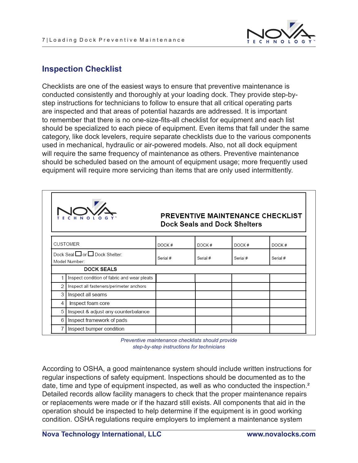

## **Inspection Checklist**

Checklists are one of the easiest ways to ensure that preventive maintenance is conducted consistently and thoroughly at your loading dock. They provide step-bystep instructions for technicians to follow to ensure that all critical operating parts are inspected and that areas of potential hazards are addressed. It is important to remember that there is no one-size-fits-all checklist for equipment and each list should be specialized to each piece of equipment. Even items that fall under the same category, like dock levelers, require separate checklists due to the various components used in mechanical, hydraulic or air-powered models. Also, not all dock equipment will require the same frequency of maintenance as others. Preventive maintenance should be scheduled based on the amount of equipment usage; more frequently used equipment will require more servicing than items that are only used intermittently.

|                 |                                                 |          | <b>Dock Seals and Dock Shelters</b> |          | PREVENTIVE MAINTENANCE CHECKLIST |
|-----------------|-------------------------------------------------|----------|-------------------------------------|----------|----------------------------------|
| <b>CUSTOMER</b> |                                                 | DOCK#    | DOCK#                               | DOCK#    | DOCK#                            |
|                 | Dock Seal □ or □ Dock Shelter:<br>Model Number: | Serial # | Serial #                            | Serial # | Serial #                         |
|                 | <b>DOCK SEALS</b>                               |          |                                     |          |                                  |
|                 | Inspect condition of fabric and wear pleats     |          |                                     |          |                                  |
| 2               | Inspect all fasteners/perimeter anchors         |          |                                     |          |                                  |
| 3               | Inspect all seams                               |          |                                     |          |                                  |
| 4               | Inspect foam core                               |          |                                     |          |                                  |
| 5               | Inspect & adjust any counterbalance             |          |                                     |          |                                  |
| 6               | Inspect framework of pads                       |          |                                     |          |                                  |
|                 | Inspect bumper condition                        |          |                                     |          |                                  |

*Preventive maintenance checklists should provide step-by-step instructions for technicians*

According to OSHA, a good maintenance system should include written instructions for regular inspections of safety equipment. Inspections should be documented as to the date, time and type of equipment inspected, as well as who conducted the inspection.<sup>2</sup> Detailed records allow facility managers to check that the proper maintenance repairs or replacements were made or if the hazard still exists. All components that aid in the operation should be inspected to help determine if the equipment is in good working condition. OSHA regulations require employers to implement a maintenance system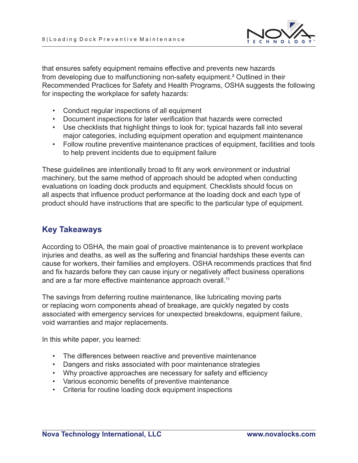

that ensures safety equipment remains effective and prevents new hazards from developing due to malfunctioning non-safety equipment.² Outlined in their Recommended Practices for Safety and Health Programs, OSHA suggests the following for inspecting the workplace for safety hazards:

- Conduct regular inspections of all equipment
- Document inspections for later verification that hazards were corrected
- Use checklists that highlight things to look for; typical hazards fall into several major categories, including equipment operation and equipment maintenance
- Follow routine preventive maintenance practices of equipment, facilities and tools to help prevent incidents due to equipment failure

These guidelines are intentionally broad to fit any work environment or industrial machinery, but the same method of approach should be adopted when conducting evaluations on loading dock products and equipment. Checklists should focus on all aspects that influence product performance at the loading dock and each type of product should have instructions that are specific to the particular type of equipment.

#### **Key Takeaways**

According to OSHA, the main goal of proactive maintenance is to prevent workplace injuries and deaths, as well as the suffering and financial hardships these events can cause for workers, their families and employers. OSHA recommends practices that find and fix hazards before they can cause injury or negatively affect business operations and are a far more effective maintenance approach overall.<sup>11</sup>

The savings from deferring routine maintenance, like lubricating moving parts or replacing worn components ahead of breakage, are quickly negated by costs associated with emergency services for unexpected breakdowns, equipment failure, void warranties and major replacements.

In this white paper, you learned:

- The differences between reactive and preventive maintenance
- Dangers and risks associated with poor maintenance strategies
- Why proactive approaches are necessary for safety and efficiency
- Various economic benefits of preventive maintenance
- Criteria for routine loading dock equipment inspections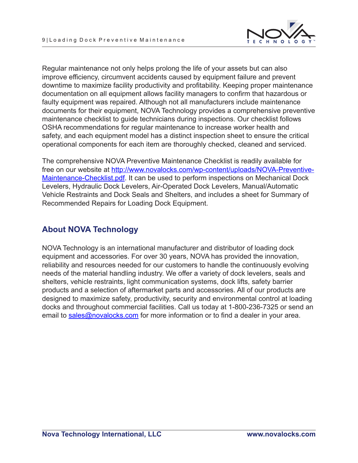

Regular maintenance not only helps prolong the life of your assets but can also improve efficiency, circumvent accidents caused by equipment failure and prevent downtime to maximize facility productivity and profitability. Keeping proper maintenance documentation on all equipment allows facility managers to confirm that hazardous or faulty equipment was repaired. Although not all manufacturers include maintenance documents for their equipment, NOVA Technology provides a comprehensive preventive maintenance checklist to guide technicians during inspections. Our checklist follows OSHA recommendations for regular maintenance to increase worker health and safety, and each equipment model has a distinct inspection sheet to ensure the critical operational components for each item are thoroughly checked, cleaned and serviced.

The comprehensive NOVA Preventive Maintenance Checklist is readily available for free on our website at http://www.novalocks.com/wp-content/uploads/NOVA-Preventive-Maintenance-Checklist.pdf. It can be used to perform inspections on Mechanical Dock Levelers, Hydraulic Dock Levelers, Air-Operated Dock Levelers, Manual/Automatic Vehicle Restraints and Dock Seals and Shelters, and includes a sheet for Summary of Recommended Repairs for Loading Dock Equipment.

## **About NOVA Technology**

NOVA Technology is an international manufacturer and distributor of loading dock equipment and accessories. For over 30 years, NOVA has provided the innovation, reliability and resources needed for our customers to handle the continuously evolving needs of the material handling industry. We offer a variety of dock levelers, seals and shelters, vehicle restraints, light communication systems, dock lifts, safety barrier products and a selection of aftermarket parts and accessories. All of our products are designed to maximize safety, productivity, security and environmental control at loading docks and throughout commercial facilities. Call us today at 1-800-236-7325 or send an email to sales@novalocks.com for more information or to find a dealer in your area.